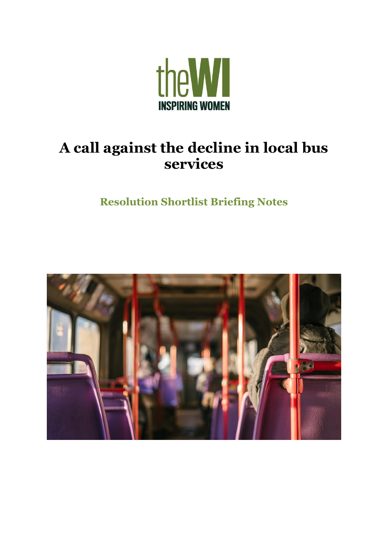

# **A call against the decline in local bus services**

**Resolution Shortlist Briefing Notes**

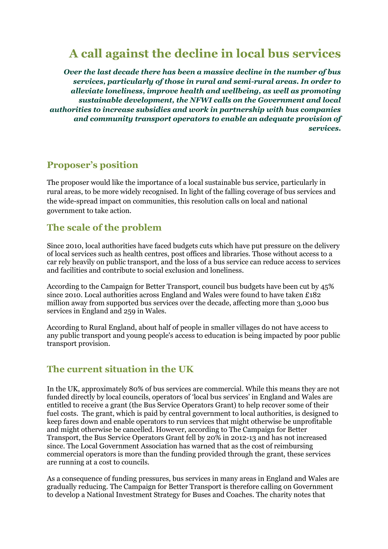## **A call against the decline in local bus services**

*Over the last decade there has been a massive decline in the number of bus services, particularly of those in rural and semi-rural areas. In order to alleviate loneliness, improve health and wellbeing, as well as promoting sustainable development, the NFWI calls on the Government and local authorities to increase subsidies and work in partnership with bus companies and community transport operators to enable an adequate provision of services.*

#### **Proposer's position**

The proposer would like the importance of a local sustainable bus service, particularly in rural areas, to be more widely recognised. In light of the falling coverage of bus services and the wide-spread impact on communities, this resolution calls on local and national government to take action.

#### **The scale of the problem**

Since 2010, local authorities have faced budgets cuts which have put pressure on the delivery of local services such as health centres, post offices and libraries. Those without access to a car rely heavily on public transport, and the loss of a bus service can reduce access to services and facilities and contribute to social exclusion and loneliness.

According to the Campaign for Better Transport, council bus budgets have been cut by 45% since 2010. Local authorities across England and Wales were found to have taken £182 million away from supported bus services over the decade, affecting more than 3,000 bus services in England and 259 in Wales.

According to Rural England, about half of people in smaller villages do not have access to any public transport and young people's access to education is being impacted by poor public transport provision.

#### **The current situation in the UK**

In the UK, approximately 80% of bus services are commercial. While this means they are not funded directly by local councils, operators of 'local bus services' in England and Wales are entitled to receive a grant (the Bus Service Operators Grant) to help recover some of their fuel costs. The grant, which is paid by central government to local authorities, is designed to keep fares down and enable operators to run services that might otherwise be unprofitable and might otherwise be cancelled. However, according to The Campaign for Better Transport, the Bus Service Operators Grant fell by 20% in 2012-13 and has not increased since. The Local Government Association has warned that as the cost of reimbursing commercial operators is more than the funding provided through the grant, these services are running at a cost to councils.

As a consequence of funding pressures, bus services in many areas in England and Wales are gradually reducing. The Campaign for Better Transport is therefore calling on Government to develop a National Investment Strategy for Buses and Coaches. The charity notes that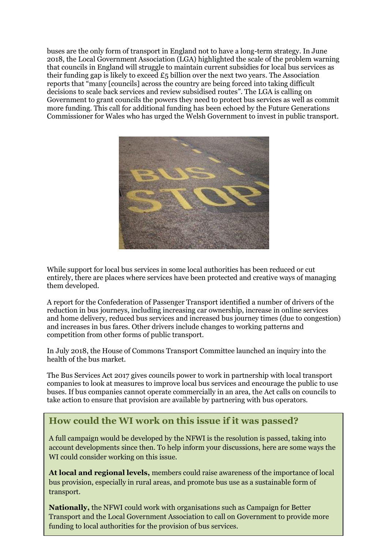buses are the only form of transport in England not to have a long-term strategy. In June 2018, the Local Government Association (LGA) highlighted the scale of the problem warning that councils in England will struggle to maintain current subsidies for local bus services as their funding gap is likely to exceed  $E_5$  billion over the next two years. The Association reports that "many [councils] across the country are being forced into taking difficult decisions to scale back services and review subsidised routes". The LGA is calling on Government to grant councils the powers they need to protect bus services as well as commit more funding. This call for additional funding has been echoed by the Future Generations Commissioner for Wales who has urged the Welsh Government to invest in public transport.



While support for local bus services in some local authorities has been reduced or cut entirely, there are places where services have been protected and creative ways of managing them developed.

A report for the Confederation of Passenger Transport identified a number of drivers of the reduction in bus journeys, including increasing car ownership, increase in online services and home delivery, reduced bus services and increased bus journey times (due to congestion) and increases in bus fares. Other drivers include changes to working patterns and competition from other forms of public transport.

In July 2018, the House of Commons Transport Committee launched an inquiry into the health of the bus market.

The Bus Services Act 2017 gives councils power to work in partnership with local transport companies to look at measures to improve local bus services and encourage the public to use buses. If bus companies cannot operate commercially in an area, the Act calls on councils to take action to ensure that provision are available by partnering with bus operators.

#### **How could the WI work on this issue if it was passed?**

A full campaign would be developed by the NFWI is the resolution is passed, taking into account developments since then. To help inform your discussions, here are some ways the WI could consider working on this issue.

**At local and regional levels,** members could raise awareness of the importance of local bus provision, especially in rural areas, and promote bus use as a sustainable form of transport.

**Nationally,** the NFWI could work with organisations such as Campaign for Better Transport and the Local Government Association to call on Government to provide more funding to local authorities for the provision of bus services.